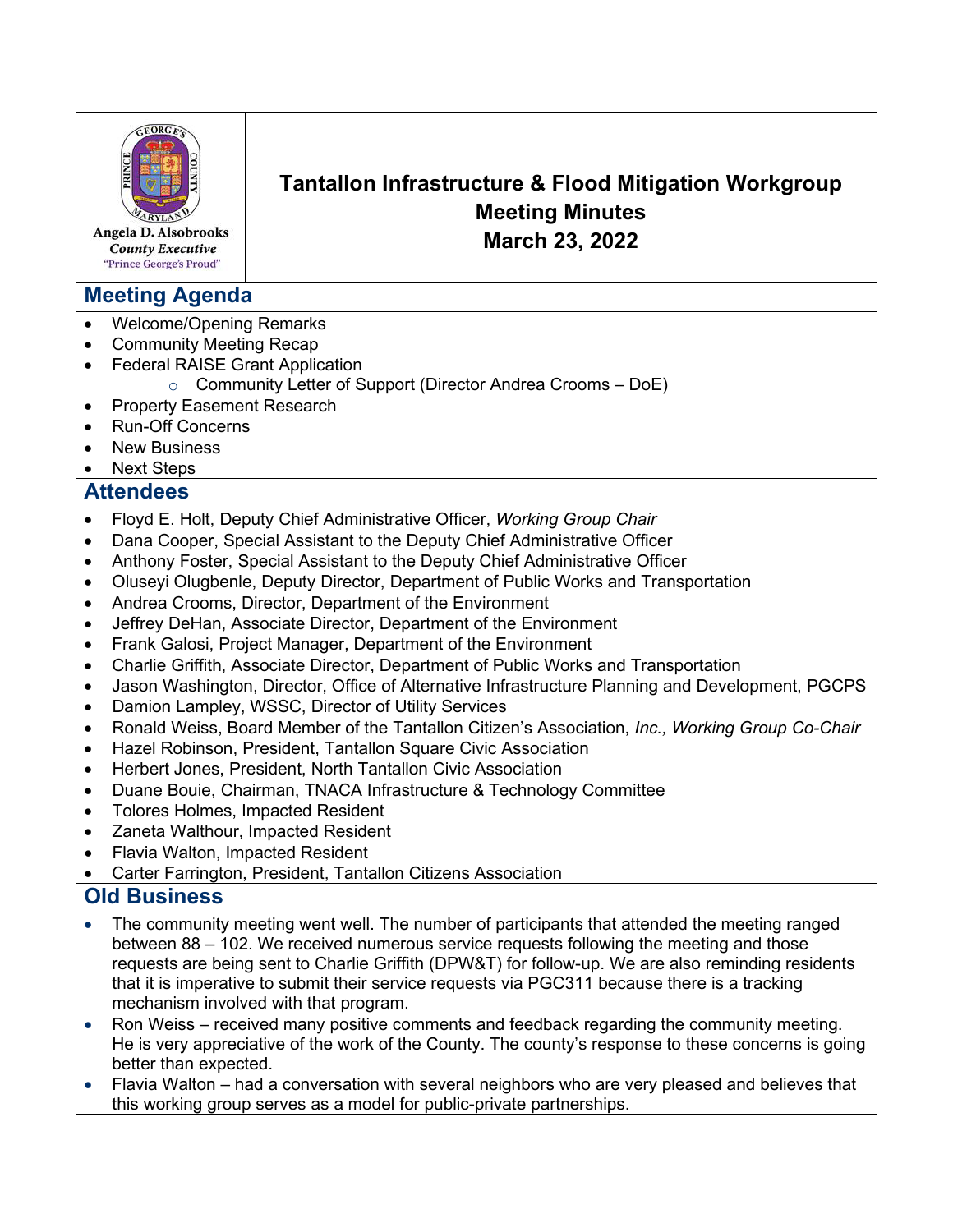

Angela D. Alsobrooks **County Executive** "Prince George's Proud"

# **Meeting Agenda**

- Welcome/Opening Remarks
- Community Meeting Recap
- **Federal RAISE Grant Application** 
	- o Community Letter of Support (Director Andrea Crooms DoE)
- Property Easement Research
- Run-Off Concerns
- **New Business**
- **Next Steps**

## **Attendees**

- Floyd E. Holt, Deputy Chief Administrative Officer, *Working Group Chair*
- Dana Cooper, Special Assistant to the Deputy Chief Administrative Officer
- Anthony Foster, Special Assistant to the Deputy Chief Administrative Officer
- Oluseyi Olugbenle, Deputy Director, Department of Public Works and Transportation
- Andrea Crooms, Director, Department of the Environment
- Jeffrey DeHan, Associate Director, Department of the Environment
- Frank Galosi, Project Manager, Department of the Environment
- Charlie Griffith, Associate Director, Department of Public Works and Transportation
- Jason Washington, Director, Office of Alternative Infrastructure Planning and Development, PGCPS
- Damion Lampley, WSSC, Director of Utility Services
- Ronald Weiss, Board Member of the Tantallon Citizen's Association, *Inc., Working Group Co-Chair*
- Hazel Robinson, President, Tantallon Square Civic Association
- Herbert Jones, President, North Tantallon Civic Association
- Duane Bouie, Chairman, TNACA Infrastructure & Technology Committee
- Tolores Holmes, Impacted Resident
- Zaneta Walthour, Impacted Resident
- Flavia Walton, Impacted Resident
- Carter Farrington, President, Tantallon Citizens Association

# **Old Business**

- The community meeting went well. The number of participants that attended the meeting ranged between 88 – 102. We received numerous service requests following the meeting and those requests are being sent to Charlie Griffith (DPW&T) for follow-up. We are also reminding residents that it is imperative to submit their service requests via PGC311 because there is a tracking mechanism involved with that program.
- Ron Weiss received many positive comments and feedback regarding the community meeting. He is very appreciative of the work of the County. The county's response to these concerns is going better than expected.
- Flavia Walton had a conversation with several neighbors who are very pleased and believes that this working group serves as a model for public-private partnerships.

**Tantallon Infrastructure & Flood Mitigation Workgroup Meeting Minutes March 23, 2022**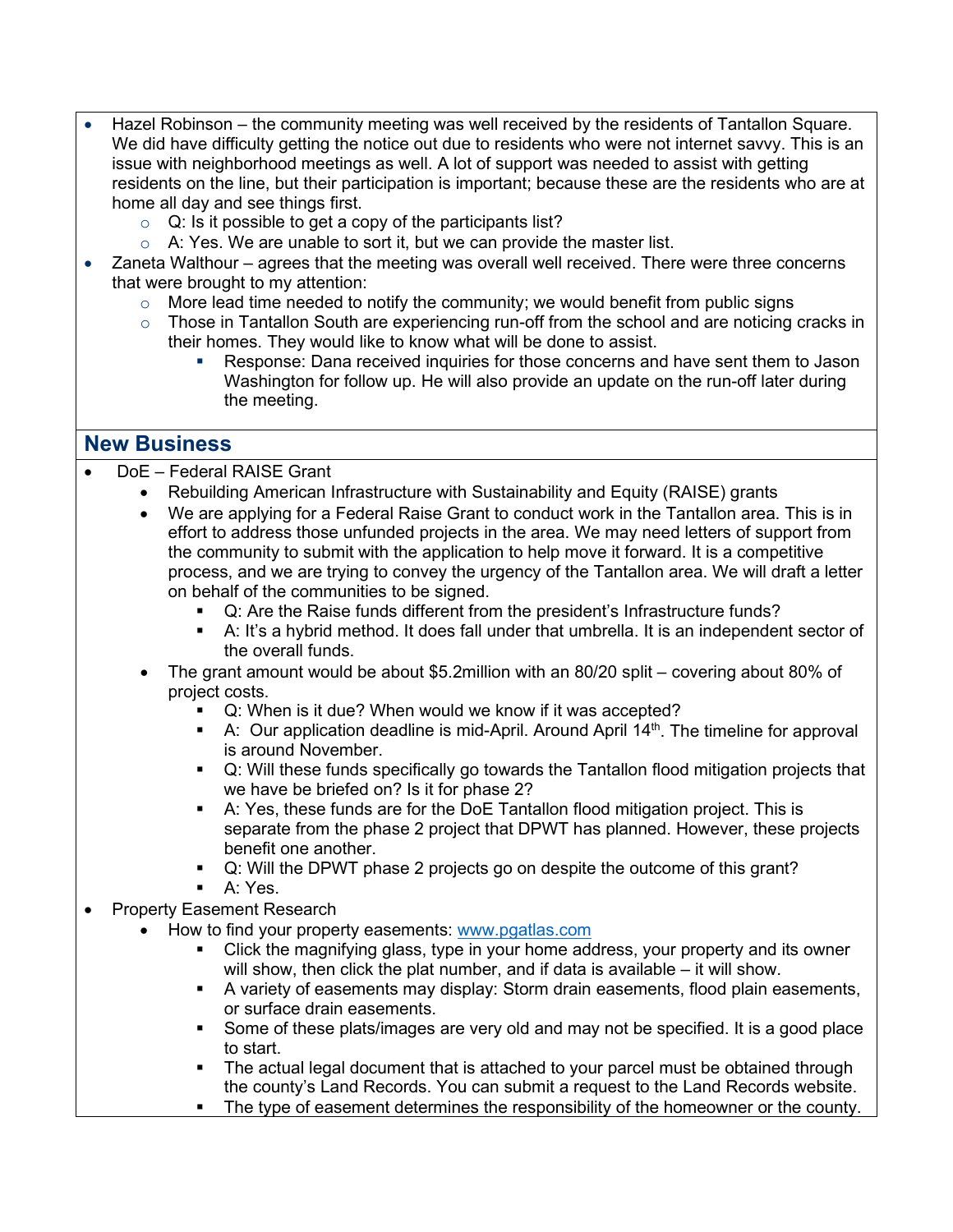- Hazel Robinson the community meeting was well received by the residents of Tantallon Square. We did have difficulty getting the notice out due to residents who were not internet savvy. This is an issue with neighborhood meetings as well. A lot of support was needed to assist with getting residents on the line, but their participation is important; because these are the residents who are at home all day and see things first.
	- $\circ$  Q: Is it possible to get a copy of the participants list?
	- $\circ$  A: Yes. We are unable to sort it, but we can provide the master list.
- Zaneta Walthour agrees that the meeting was overall well received. There were three concerns that were brought to my attention:
	- $\circ$  More lead time needed to notify the community; we would benefit from public signs
	- $\circ$  Those in Tantallon South are experiencing run-off from the school and are noticing cracks in their homes. They would like to know what will be done to assist.
		- Response: Dana received inquiries for those concerns and have sent them to Jason Washington for follow up. He will also provide an update on the run-off later during the meeting.

## **New Business**

- DoE Federal RAISE Grant
	- Rebuilding American Infrastructure with Sustainability and Equity (RAISE) grants
	- We are applying for a Federal Raise Grant to conduct work in the Tantallon area. This is in effort to address those unfunded projects in the area. We may need letters of support from the community to submit with the application to help move it forward. It is a competitive process, and we are trying to convey the urgency of the Tantallon area. We will draft a letter on behalf of the communities to be signed.
		- Q: Are the Raise funds different from the president's Infrastructure funds?
		- A: It's a hybrid method. It does fall under that umbrella. It is an independent sector of the overall funds.
	- The grant amount would be about \$5.2million with an 80/20 split covering about 80% of project costs.
		- Q: When is it due? When would we know if it was accepted?
		- A: Our application deadline is mid-April. Around April  $14<sup>th</sup>$ . The timeline for approval is around November.
		- Q: Will these funds specifically go towards the Tantallon flood mitigation projects that we have be briefed on? Is it for phase 2?
		- A: Yes, these funds are for the DoE Tantallon flood mitigation project. This is separate from the phase 2 project that DPWT has planned. However, these projects benefit one another.
		- Q: Will the DPWT phase 2 projects go on despite the outcome of this grant?
		- A: Yes.
- Property Easement Research
	- How to find your property easements: [www.pgatlas.com](http://www.pgatlas.com/) 
		- Click the magnifying glass, type in your home address, your property and its owner will show, then click the plat number, and if data is available – it will show.
		- A variety of easements may display: Storm drain easements, flood plain easements, or surface drain easements.
		- Some of these plats/images are very old and may not be specified. It is a good place to start.
		- The actual legal document that is attached to your parcel must be obtained through the county's Land Records. You can submit a request to the Land Records website.
		- The type of easement determines the responsibility of the homeowner or the county.